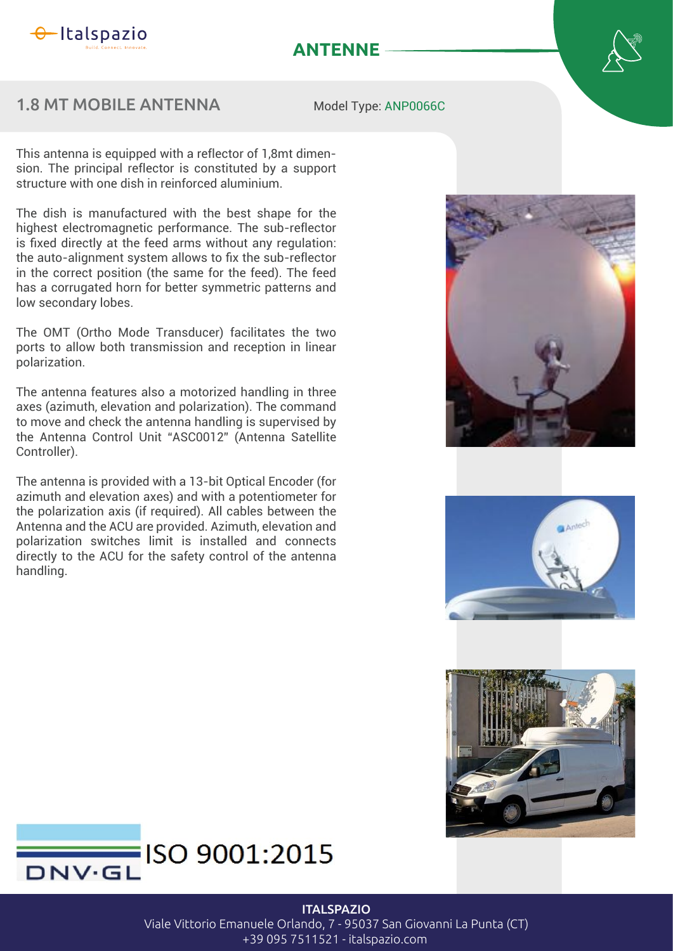

## **ANTENNE**

## 1.8 MT MOBILE ANTENNA

Model Type: ANP0066C

This antenna is equipped with a reflector of 1,8mt dimension. The principal reflector is constituted by a support structure with one dish in reinforced aluminium.

The dish is manufactured with the best shape for the highest electromagnetic performance. The sub-reflector is fixed directly at the feed arms without any regulation: the auto-alignment system allows to fix the sub-reflector in the correct position (the same for the feed). The feed has a corrugated horn for better symmetric patterns and low secondary lobes.

The OMT (Ortho Mode Transducer) facilitates the two ports to allow both transmission and reception in linear polarization.

The antenna features also a motorized handling in three axes (azimuth, elevation and polarization). The command to move and check the antenna handling is supervised by the Antenna Control Unit "ASC0012" (Antenna Satellite Controller).

The antenna is provided with a 13-bit Optical Encoder (for azimuth and elevation axes) and with a potentiometer for the polarization axis (if required). All cables between the Antenna and the ACU are provided. Azimuth, elevation and polarization switches limit is installed and connects directly to the ACU for the safety control of the antenna handling.









**ITALSPAZIO** 

Viale Vittorio Emanuele Orlando, 7 - 95037 San Giovanni La Punta (CT)

+39 095 7511521 - italspazio.com